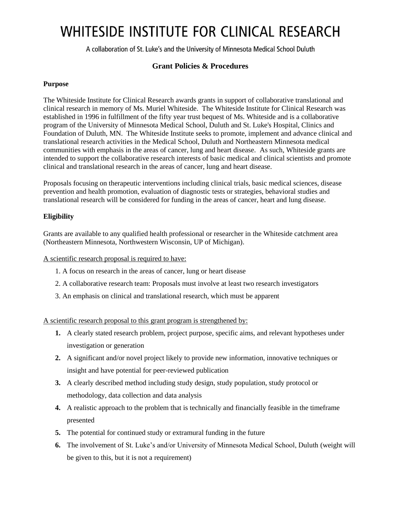# WHITESIDE INSTITUTE FOR CLINICAL RESEARCH

A collaboration of St. Luke's and the University of Minnesota Medical School Duluth

# **Grant Policies & Procedures**

# **Purpose**

The Whiteside Institute for Clinical Research awards grants in support of collaborative translational and clinical research in memory of Ms. Muriel Whiteside. The Whiteside Institute for Clinical Research was established in 1996 in fulfillment of the fifty year trust bequest of Ms. Whiteside and is a collaborative program of the University of Minnesota Medical School, Duluth and St. Luke's Hospital, Clinics and Foundation of Duluth, MN. The Whiteside Institute seeks to promote, implement and advance clinical and translational research activities in the Medical School, Duluth and Northeastern Minnesota medical communities with emphasis in the areas of cancer, lung and heart disease. As such, Whiteside grants are intended to support the collaborative research interests of basic medical and clinical scientists and promote clinical and translational research in the areas of cancer, lung and heart disease.

Proposals focusing on therapeutic interventions including clinical trials, basic medical sciences, disease prevention and health promotion, evaluation of diagnostic tests or strategies, behavioral studies and translational research will be considered for funding in the areas of cancer, heart and lung disease.

# **Eligibility**

Grants are available to any qualified health professional or researcher in the Whiteside catchment area (Northeastern Minnesota, Northwestern Wisconsin, UP of Michigan).

A scientific research proposal is required to have:

- 1. A focus on research in the areas of cancer, lung or heart disease
- 2. A collaborative research team: Proposals must involve at least two research investigators
- 3. An emphasis on clinical and translational research, which must be apparent

A scientific research proposal to this grant program is strengthened by:

- **1.** A clearly stated research problem, project purpose, specific aims, and relevant hypotheses under investigation or generation
- **2.** A significant and/or novel project likely to provide new information, innovative techniques or insight and have potential for peer-reviewed publication
- **3.** A clearly described method including study design, study population, study protocol or methodology, data collection and data analysis
- **4.** A realistic approach to the problem that is technically and financially feasible in the timeframe presented
- **5.** The potential for continued study or extramural funding in the future
- **6.** The involvement of St. Luke's and/or University of Minnesota Medical School, Duluth (weight will be given to this, but it is not a requirement)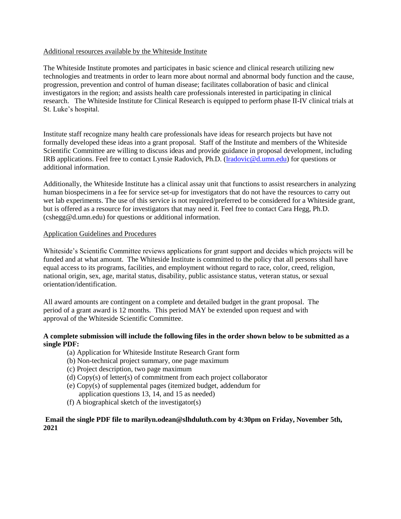### Additional resources available by the Whiteside Institute

The Whiteside Institute promotes and participates in basic science and clinical research utilizing new technologies and treatments in order to learn more about normal and abnormal body function and the cause, progression, prevention and control of human disease; facilitates collaboration of basic and clinical investigators in the region; and assists health care professionals interested in participating in clinical research. The Whiteside Institute for Clinical Research is equipped to perform phase II-IV clinical trials at St. Luke's hospital.

Institute staff recognize many health care professionals have ideas for research projects but have not formally developed these ideas into a grant proposal. Staff of the Institute and members of the Whiteside Scientific Committee are willing to discuss ideas and provide guidance in proposal development, including IRB applications. Feel free to contact Lynsie Radovich, Ph.D. [\(lradovic@d.umn.edu\)](mailto:lradovic@d.umn.edu) for questions or additional information.

Additionally, the Whiteside Institute has a clinical assay unit that functions to assist researchers in analyzing human biospecimens in a fee for service set-up for investigators that do not have the resources to carry out wet lab experiments. The use of this service is not required/preferred to be considered for a Whiteside grant, but is offered as a resource for investigators that may need it. Feel free to contact Cara Hegg, Ph.D. (cshegg@d.umn.edu) for questions or additional information.

#### Application Guidelines and Procedures

Whiteside's Scientific Committee reviews applications for grant support and decides which projects will be funded and at what amount. The Whiteside Institute is committed to the policy that all persons shall have equal access to its programs, facilities, and employment without regard to race, color, creed, religion, national origin, sex, age, marital status, disability, public assistance status, veteran status, or sexual orientation/identification.

All award amounts are contingent on a complete and detailed budget in the grant proposal. The period of a grant award is 12 months. This period MAY be extended upon request and with approval of the Whiteside Scientific Committee.

#### **A complete submission will include the following files in the order shown below to be submitted as a single PDF:**

- (a) Application for Whiteside Institute Research Grant form
- (b) Non-technical project summary, one page maximum
- (c) Project description, two page maximum
- (d) Copy(s) of letter(s) of commitment from each project collaborator
- (e) Copy(s) of supplemental pages (itemized budget, addendum for application questions 13, 14, and 15 as needed)
- (f) A biographical sketch of the investigator(s)

#### **Email the single PDF file to marilyn.odean@slhduluth.com by 4:30pm on Friday, November 5th, 2021**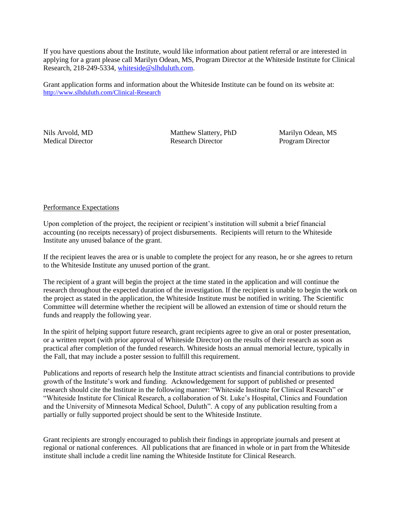If you have questions about the Institute, would like information about patient referral or are interested in applying for a grant please call Marilyn Odean, MS, Program Director at the Whiteside Institute for Clinical Research, 218-249-5334, [whiteside@slhduluth.com.](file:///C:/WINDOWS/Temporary%20Internet%20Files/OLKF245/whiteside@slhduluth.com)

Grant application forms and information about the Whiteside Institute can be found on its website at: <http://www.slhduluth.com/Clinical-Research>

Nils Arvold, MD Matthew Slattery, PhD Marilyn Odean, MS Medical Director Research Director Program Director

## Performance Expectations

Upon completion of the project, the recipient or recipient's institution will submit a brief financial accounting (no receipts necessary) of project disbursements. Recipients will return to the Whiteside Institute any unused balance of the grant.

If the recipient leaves the area or is unable to complete the project for any reason, he or she agrees to return to the Whiteside Institute any unused portion of the grant.

The recipient of a grant will begin the project at the time stated in the application and will continue the research throughout the expected duration of the investigation. If the recipient is unable to begin the work on the project as stated in the application, the Whiteside Institute must be notified in writing. The Scientific Committee will determine whether the recipient will be allowed an extension of time or should return the funds and reapply the following year.

In the spirit of helping support future research, grant recipients agree to give an oral or poster presentation, or a written report (with prior approval of Whiteside Director) on the results of their research as soon as practical after completion of the funded research. Whiteside hosts an annual memorial lecture, typically in the Fall, that may include a poster session to fulfill this requirement.

Publications and reports of research help the Institute attract scientists and financial contributions to provide growth of the Institute's work and funding. Acknowledgement for support of published or presented research should cite the Institute in the following manner: "Whiteside Institute for Clinical Research" or "Whiteside Institute for Clinical Research, a collaboration of St. Luke's Hospital, Clinics and Foundation and the University of Minnesota Medical School, Duluth". A copy of any publication resulting from a partially or fully supported project should be sent to the Whiteside Institute.

Grant recipients are strongly encouraged to publish their findings in appropriate journals and present at regional or national conferences. All publications that are financed in whole or in part from the Whiteside institute shall include a credit line naming the Whiteside Institute for Clinical Research.